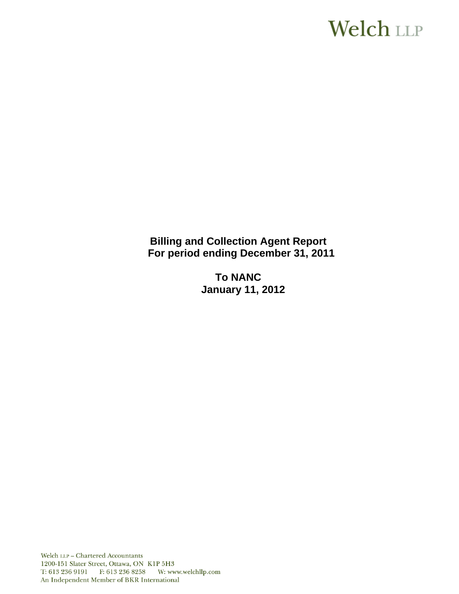# **Welch LLP**

**Billing and Collection Agent Report For period ending December 31, 2011** 

> **To NANC January 11, 2012**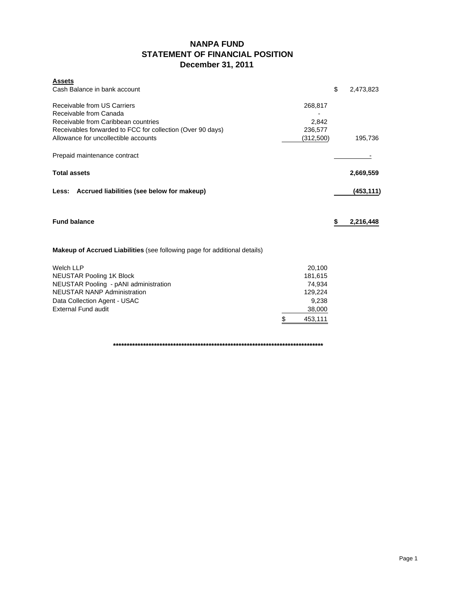# **NANPA FUND STATEMENT OF FINANCIAL POSITION December 31, 2011**

| <b>Assets</b><br>Cash Balance in bank account                                    |               | \$<br>2,473,823 |
|----------------------------------------------------------------------------------|---------------|-----------------|
| Receivable from US Carriers                                                      | 268,817       |                 |
| Receivable from Canada<br>Receivable from Caribbean countries                    | 2,842         |                 |
| Receivables forwarded to FCC for collection (Over 90 days)                       | 236,577       |                 |
| Allowance for uncollectible accounts                                             | (312,500)     | 195,736         |
| Prepaid maintenance contract                                                     |               |                 |
| <b>Total assets</b>                                                              |               | 2,669,559       |
| Accrued liabilities (see below for makeup)<br>Less:                              |               | (453, 111)      |
| <b>Fund balance</b>                                                              |               | \$<br>2,216,448 |
| <b>Makeup of Accrued Liabilities</b> (see following page for additional details) |               |                 |
| <b>Welch LLP</b>                                                                 | 20,100        |                 |
| <b>NEUSTAR Pooling 1K Block</b>                                                  | 181,615       |                 |
| NEUSTAR Pooling - pANI administration                                            | 74,934        |                 |
| <b>NEUSTAR NANP Administration</b>                                               | 129,224       |                 |
| Data Collection Agent - USAC<br><b>External Fund audit</b>                       | 9,238         |                 |
|                                                                                  | 38,000        |                 |
|                                                                                  | \$<br>453,111 |                 |

**\*\*\*\*\*\*\*\*\*\*\*\*\*\*\*\*\*\*\*\*\*\*\*\*\*\*\*\*\*\*\*\*\*\*\*\*\*\*\*\*\*\*\*\*\*\*\*\*\*\*\*\*\*\*\*\*\*\*\*\*\*\*\*\*\*\*\*\*\*\*\*\*\*\*\*\*\***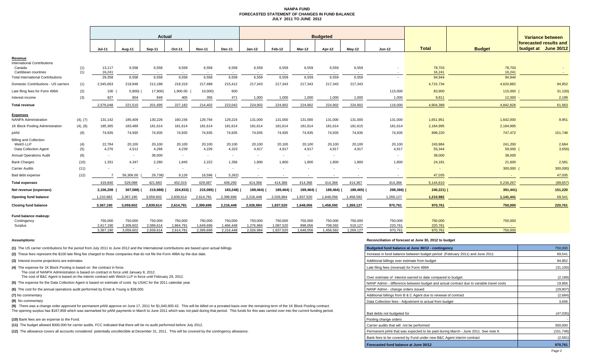#### **NANPA FUND FORECASTED STATEMENT OF CHANGES IN FUND BALANCEJULY 2011 TO JUNE 2012**

|                                                                     |            | Actual                 |                          |                        |                        |                          | <b>Budgeted</b>        |                          |                        |                          |                      |                          |                    |                    | Variance between  |                                                |
|---------------------------------------------------------------------|------------|------------------------|--------------------------|------------------------|------------------------|--------------------------|------------------------|--------------------------|------------------------|--------------------------|----------------------|--------------------------|--------------------|--------------------|-------------------|------------------------------------------------|
|                                                                     |            | $Jul-11$               | Aug-11                   | Sep-11                 | Oct-11                 | <b>Nov-11</b>            | Dec-11                 | $Jan-12$                 | Feb-12                 | Mar-12                   | Apr-12               | $Mav-12$                 | $Jun-12$           | <b>Total</b>       | <b>Budget</b>     | forecasted results and<br>budget at June 30/12 |
| Revenue                                                             |            |                        |                          |                        |                        |                          |                        |                          |                        |                          |                      |                          |                    |                    |                   |                                                |
| <b>International Contributions</b><br>Canada<br>Caribbean countries | (1)<br>(1) | 13,117<br>16.241       | 6,558<br>$\sim$          | 6,558                  | 6,558                  | 6,558<br>$\sim$          | 6,559                  | 6,559                    | 6,559                  | 6,559                    | 6,559                | 6,559                    |                    | 78,703<br>16.241   | 78,703<br>16,241  |                                                |
| <b>Total International Contributions</b>                            |            | 29,358                 | 6,558                    | 6,558                  | 6,558                  | 6,558                    | 6,559                  | 6,559                    | 6,559                  | 6,559                    | 6,559                | 6,559                    |                    | 94,944             | 94,944            |                                                |
| Domestic Contributions - US carriers                                | (1)        | 2,545,663              | 219,948                  | 212,188                | 218,319                | 217,489                  | 215,412                | 217,343                  | 217,343                | 217,343                  | 217,343              | 217,343                  |                    | 4,715,734          | 4,620,882         | 94,852                                         |
| Late filing fees for Form 499A                                      | (2)        | 100                    | 5,800                    | 17,900)                | 1,900.00               | 10,000)                  | 600                    |                          |                        |                          |                      |                          | 115,000            | 83,900             | 115,000           | 31,100                                         |
| Interest income                                                     | (3)        | 927                    | 804                      | 849                    | 405                    | 355                      | 471                    | 1,000                    | 1,000                  | 1,000                    | 1,000                | 1,000                    | 1,000              | 9,811              | 12,000            | 2,189                                          |
| <b>Total revenue</b>                                                |            | 2,576,048              | 221,510                  | 201,695                | 227,182                | 214,402                  | 223,042                | 224,902                  | 224,902                | 224,902                  | 224,902              | 224,902                  | 116,000            | 4,904,389          | 4,842,826         | 61,563                                         |
|                                                                     |            |                        |                          |                        |                        |                          |                        |                          |                        |                          |                      |                          |                    |                    |                   |                                                |
| <b>Expenses</b><br><b>NANPA Administration</b>                      | (4), (7)   | 131,142                | 185,409                  | 130,226                | 160,156                | 129,794                  | 129,224                | 131,000                  | 131,000                | 131,000                  | 131,000              | 131,000                  | 131,000            | 1,651,951          | 1,642,000         | 9,951                                          |
| 1K Block Pooling Administration                                     | (4), (8)   | 185,365                | 183,489                  | 181,614                | 181,614                | 181,614                  | 181,614                | 181,614                  | 181,614                | 181,614                  | 181,614              | 181,615                  | 181,614            | 2,184,995          | 2,184,995         |                                                |
| pANI                                                                | (9)        | 74,935                 | 74,935                   | 74,935                 | 74,935                 | 74,935                   | 74,935                 | 74,935                   | 74,935                 | 74,935                   | 74,935               | 74,935                   | 74,935             | 899,220            | 747,472           | 151,748                                        |
| <b>Billing and Collection</b>                                       |            |                        |                          |                        |                        |                          |                        |                          |                        |                          |                      |                          |                    |                    |                   |                                                |
| Welch LLP<br>Data Collection Agent                                  | (4)        | 22,784<br>4,276        | 20,100<br>4,512          | 20,100<br>4,266        | 20,100<br>4,239        | 20,100<br>4,226          | 20,100<br>4,323        | 20,100<br>4,917          | 20,100<br>4,917        | 20,100<br>4,917          | 20,100               | 20,100<br>4,917          | 20,100<br>4,917    | 243,884<br>55,344  | 241,200<br>59,000 | 2,684<br>3,656                                 |
| <b>Annual Operations Audit</b>                                      | (5)<br>(6) | $\sim$                 | $\sim$                   | 38,000                 | $\sim$                 | $\sim$                   | $\sim$                 | $\overline{\phantom{a}}$ | $\sim$                 | $\overline{\phantom{a}}$ | 4,917<br>$\sim$      |                          |                    | 38,000             | 38,000            |                                                |
| <b>Bank Charges</b>                                                 | (10)       | 1,331                  | 4,347                    | 2,280                  | 1,845                  | 2,222                    | 1,356                  | 1,800                    | 1,800                  | 1,800                    | 1,800                | 1,800                    | 1,800              | 24,181             | 21,600            | 2,581                                          |
| Carrier Audits                                                      | (11)       |                        | $\overline{\phantom{a}}$ | $\sim$                 |                        | $\overline{\phantom{a}}$ | $\sim$                 |                          |                        |                          |                      | $\overline{\phantom{a}}$ |                    |                    | 300,000           | 300,000)                                       |
| Bad debt expense                                                    | (12)       |                        | 56,306.00                | 29,738)                | 9,126                  | 16,596                   | 5,262                  |                          |                        |                          |                      |                          |                    | 47,035             |                   | 47,035                                         |
| <b>Total expenses</b>                                               |            | 419.840                | 529,098                  | 421,683                | 452,015                | 429,487                  | 406,290                | 414,366                  | 414,366                | 414,366                  | 414,366              | 414,367                  | 414,366            | 5,144,610          | 5,234,267         | (89, 657)                                      |
|                                                                     |            |                        |                          |                        |                        |                          |                        |                          |                        |                          |                      |                          |                    |                    |                   |                                                |
| Net revenue (expenses)                                              |            | 2,156,208              | 307,588) (               | 219,988)               | 224,833)               | 215,085)                 | 183,248)               | 189,464)                 | 189,464)               | 189,464) (               | 189,464)             | 189,465)                 | 298,366)           | $240,221$ )        | 391,441)          | 151,220                                        |
| Opening fund balance                                                |            | 1,210,982              | 3,367,190                | 3,059,602              | 2,839,614              | 2,614,781                | 2,399,696              | 2,216,448                | 2,026,984              | 1,837,520                | 1,648,056            | 1,458,592                | 1,269,127          | 1,210,982          | 1,141,441         | 69,541                                         |
| <b>Closing fund balance</b>                                         |            | 3,367,190              | 3,059,602                | 2,839,614              | 2,614,781              | 2,399,696                | 2,216,448              | 2,026,984                | 1,837,520              | 1,648,056                | 1,458,592            | 1,269,127                | 970,761            | 970,761            | 750,000           | 220,761                                        |
| Fund balance makeup:                                                |            |                        |                          |                        |                        |                          |                        |                          |                        |                          |                      |                          |                    |                    |                   |                                                |
| Contingency                                                         |            | 750,000                | 750,000                  | 750,000                | 750,000                | 750,000                  | 750,000                | 750,000                  | 750,000                | 750,000                  | 750,000              | 750,000                  | 750,000            | 750,000            | 750,000           |                                                |
| Surplus                                                             |            | 2,617,190<br>3,367,190 | 2,309,602<br>3.059.602   | 2,089,614<br>2,839,614 | 1,864,781<br>2,614,781 | 1,649,696<br>2,399,696   | 1,466,448<br>2,216,448 | 1,276,984<br>2,026,984   | 1,087,520<br>1,837,520 | 898,056<br>1,648,056     | 708,592<br>1,458,592 | 519,127<br>1,269,127     | 220,761<br>970.761 | 220,761<br>970.761 | 750,000           |                                                |
|                                                                     |            |                        |                          |                        |                        |                          |                        |                          |                        |                          |                      |                          |                    |                    |                   |                                                |

#### **(10)** Bank fees are an expense to the Fund.

#### **Assumptions: Reconciliation of forecast at June 30, 2012 to budget**

| (1) The US carrier contributions for the period from July 2011 to June 2012 and the International contributions are based upon actual billings.                                                            | Budgeted fund balance at June 30/12 - contingency                                       | 750,000    |
|------------------------------------------------------------------------------------------------------------------------------------------------------------------------------------------------------------|-----------------------------------------------------------------------------------------|------------|
| (2) These fees represent the \$100 late filing fee charged to those companies that do not file the Form 499A by the due date.                                                                              | Increase in fund balance between budget period (February 2011) and June 2011            | 69,541     |
| (3) Interest income projections are estimates                                                                                                                                                              | Additional billings over estimate from budget                                           | 94,852     |
| (4) The expense for 1K Block Pooling is based on the contract in force.                                                                                                                                    | Late filing fees (reversal) for Form 499A                                               | (31, 100)  |
| The cost of NANPA Administration is based on contract in force until January 8, 2012.                                                                                                                      |                                                                                         |            |
| The cost of B&C Agent is based on the interim contract with Welch LLP in force until February 29, 2012.                                                                                                    | Over estimate of interest earned to date compared to budget                             | (2, 189)   |
| (5) The expense for the Data Collection Agent is based on estimate of costs by USAC for the 2011 calendar year.                                                                                            | NANP Admin - difference between budget and actual contract due to variable travel costs | 19,856     |
| (6) The cost for the annual operations audit performed by Ernst & Young is \$38,000.                                                                                                                       | NANP Admin - change orders issued                                                       | (29, 807)  |
| (7) No commentary                                                                                                                                                                                          | Additional billings from B & C Agent due to renewal of contract                         | (2,684)    |
| (8) No commentary                                                                                                                                                                                          | Data Collection fees - Adjustment to actual from budget                                 | 3,656      |
| (9) There was a change order approved for permanent pANI approve on June 17, 2011 for \$1,040,905.42. This will be billed on a prorated basis over the remaining term of the 1K Block Pooling contract.    |                                                                                         |            |
| The opening surplus has \$167,858 which was earmarked for pANI payments in March to June 2011 which was not paid during that period. This funds for this was carried over into the current funding period. | Bad debts not budgeted for                                                              | (47, 035)  |
| (10) Bank fees are an expense to the Fund.                                                                                                                                                                 | Pooling change orders                                                                   |            |
| (11) The budget allowed \$300,000 for carrier audits. FCC indicated that there will be no audit performed before July 2012.                                                                                | Carrier audits that will not be performed                                               | 300,000    |
| (12) The allowance covers all accounts considered potentially uncollectible at December 31, 2011. This will be covered by the contingency allowance.                                                       | Permanent pANi that was expected to be paid during March - June 2011. See note 9.       | (151, 748) |
|                                                                                                                                                                                                            | Bank fees to be covered by Fund under new B&C Agent interim contract                    | (2,581)    |
|                                                                                                                                                                                                            | Forecasted fund balance at June 30/12                                                   | 970,761    |
|                                                                                                                                                                                                            |                                                                                         |            |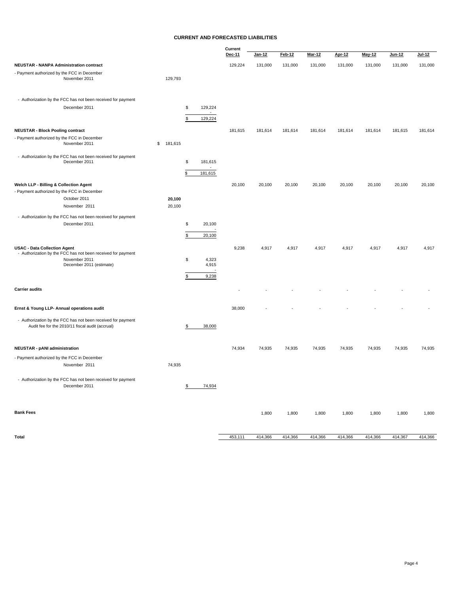#### **CURRENT AND FORECASTED LIABILITIES**

|                                                                                                                  |           |               | Current<br>Dec-11 | Jan-12  | <b>Feb-12</b> | <b>Mar-12</b> | <b>Apr-12</b> | May-12  | Jun-12  | $Jul-12$ |
|------------------------------------------------------------------------------------------------------------------|-----------|---------------|-------------------|---------|---------------|---------------|---------------|---------|---------|----------|
| <b>NEUSTAR - NANPA Administration contract</b>                                                                   |           |               | 129,224           | 131,000 | 131,000       | 131,000       | 131,000       | 131,000 | 131,000 | 131,000  |
| - Payment authorized by the FCC in December<br>November 2011                                                     | 129,793   |               |                   |         |               |               |               |         |         |          |
| - Authorization by the FCC has not been received for payment                                                     |           |               |                   |         |               |               |               |         |         |          |
| December 2011                                                                                                    |           | \$<br>129,224 |                   |         |               |               |               |         |         |          |
|                                                                                                                  |           | 129,224<br>\$ |                   |         |               |               |               |         |         |          |
| <b>NEUSTAR - Block Pooling contract</b>                                                                          |           |               | 181,615           | 181,614 | 181,614       | 181,614       | 181,614       | 181,614 | 181,615 | 181,614  |
| - Payment authorized by the FCC in December<br>November 2011                                                     | \$181,615 |               |                   |         |               |               |               |         |         |          |
| - Authorization by the FCC has not been received for payment<br>December 2011                                    |           | \$<br>181,615 |                   |         |               |               |               |         |         |          |
|                                                                                                                  |           | \$<br>181,615 |                   |         |               |               |               |         |         |          |
| Welch LLP - Billing & Collection Agent<br>- Payment authorized by the FCC in December                            |           |               | 20,100            | 20,100  | 20,100        | 20,100        | 20,100        | 20,100  | 20,100  | 20,100   |
| October 2011                                                                                                     | 20,100    |               |                   |         |               |               |               |         |         |          |
| November 2011                                                                                                    | 20,100    |               |                   |         |               |               |               |         |         |          |
| - Authorization by the FCC has not been received for payment                                                     |           |               |                   |         |               |               |               |         |         |          |
| December 2011                                                                                                    |           | \$<br>20,100  |                   |         |               |               |               |         |         |          |
|                                                                                                                  |           | \$<br>20,100  |                   |         |               |               |               |         |         |          |
| <b>USAC - Data Collection Agent</b>                                                                              |           |               | 9,238             | 4,917   | 4,917         | 4,917         | 4,917         | 4,917   | 4,917   | 4,917    |
| - Authorization by the FCC has not been received for payment<br>November 2011                                    |           | 4,323<br>\$   |                   |         |               |               |               |         |         |          |
| December 2011 (estimate)                                                                                         |           | 4,915         |                   |         |               |               |               |         |         |          |
|                                                                                                                  |           | 9,238<br>\$   |                   |         |               |               |               |         |         |          |
| <b>Carrier audits</b>                                                                                            |           |               |                   |         |               |               |               |         |         |          |
| Ernst & Young LLP- Annual operations audit                                                                       |           |               | 38,000            |         |               |               |               |         |         |          |
| - Authorization by the FCC has not been received for payment<br>Audit fee for the 2010/11 fiscal audit (accrual) |           | 38,000<br>\$  |                   |         |               |               |               |         |         |          |
| <b>NEUSTAR - pANI administration</b>                                                                             |           |               | 74,934            | 74,935  | 74,935        | 74,935        | 74,935        | 74,935  | 74,935  | 74,935   |
| - Payment authorized by the FCC in December                                                                      |           |               |                   |         |               |               |               |         |         |          |
| November 2011                                                                                                    | 74,935    |               |                   |         |               |               |               |         |         |          |
| - Authorization by the FCC has not been received for payment<br>December 2011                                    |           | 74,934<br>\$  |                   |         |               |               |               |         |         |          |
| <b>Bank Fees</b>                                                                                                 |           |               |                   | 1,800   | 1,800         | 1,800         | 1,800         | 1,800   | 1,800   | 1,800    |
| Total                                                                                                            |           |               | 453,111           | 414,366 | 414,366       | 414,366       | 414,366       | 414,366 | 414,367 | 414,366  |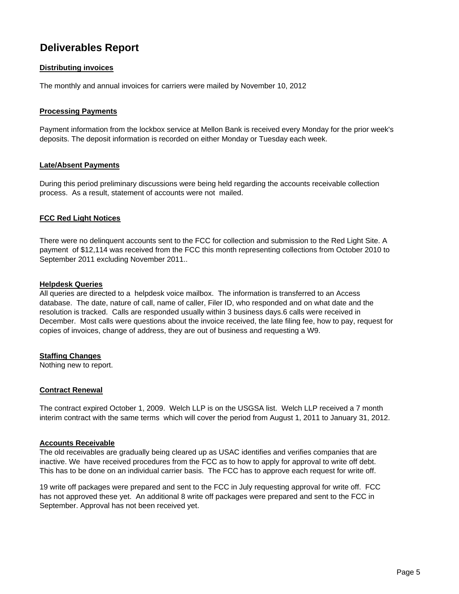# **Deliverables Report**

## **Distributing invoices**

The monthly and annual invoices for carriers were mailed by November 10, 2012

### **Processing Payments**

Payment information from the lockbox service at Mellon Bank is received every Monday for the prior week's deposits. The deposit information is recorded on either Monday or Tuesday each week.

#### **Late/Absent Payments**

During this period preliminary discussions were being held regarding the accounts receivable collection process. As a result, statement of accounts were not mailed.

#### **FCC Red Light Notices**

There were no delinquent accounts sent to the FCC for collection and submission to the Red Light Site. A payment of \$12,114 was received from the FCC this month representing collections from October 2010 to September 2011 excluding November 2011..

#### **Helpdesk Queries**

All queries are directed to a helpdesk voice mailbox. The information is transferred to an Access database. The date, nature of call, name of caller, Filer ID, who responded and on what date and the resolution is tracked. Calls are responded usually within 3 business days.6 calls were received in December. Most calls were questions about the invoice received, the late filing fee, how to pay, request for copies of invoices, change of address, they are out of business and requesting a W9.

### **Staffing Changes**

Nothing new to report.

### **Contract Renewal**

The contract expired October 1, 2009. Welch LLP is on the USGSA list. Welch LLP received a 7 month interim contract with the same terms which will cover the period from August 1, 2011 to January 31, 2012.

#### **Accounts Receivable**

The old receivables are gradually being cleared up as USAC identifies and verifies companies that are inactive. We have received procedures from the FCC as to how to apply for approval to write off debt. This has to be done on an individual carrier basis. The FCC has to approve each request for write off.

19 write off packages were prepared and sent to the FCC in July requesting approval for write off. FCC has not approved these yet. An additional 8 write off packages were prepared and sent to the FCC in September. Approval has not been received yet.